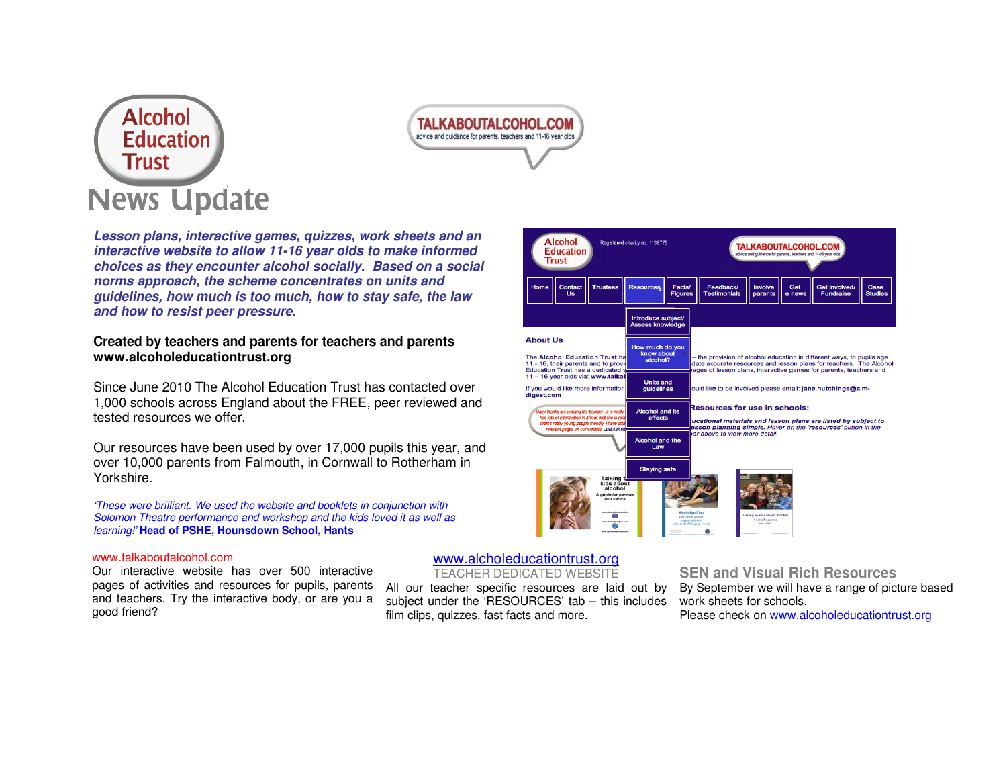



**Lesson plans, interactive games, quizzes, work sheets and an interactive website to allow 11-16 year olds to make informed choices as they encounter alcohol socially. Based on a social norms approach, the scheme concentrates on units and guidelines, how much is too much, how to stay safe, the law and how to resist peer pressure.** 

#### **Created by teachers and parents for teachers and parents www.alcoholeducationtrust.org**

Since June 2010 The Alcohol Education Trust has contacted over 1,000 schools across England about the FREE, peer reviewed and tested resources we offer.

Our resources have been used by over 17,000 pupils this year, and over 10,000 parents from Falmouth, in Cornwall to Rotherham in Yorkshire.

'These were brilliant. We used the website and booklets in conjunction with Solomon Theatre performance and workshop and the kids loved it as well as learning!' **Head of PSHE, Hounsdown School, Hants**

#### www.talkaboutalcohol.com

Our interactive website has over 500 interactive pages of activities and resources for pupils, parents and teachers. Try the interactive body, or are you a good friend?

**Alcohol** Registered charity no. 1138775 **TALKABOUTALCOHOL.COM Education Trust** Contar<br>Us Figure Introduce subject<br>Assess knowledge **About Us** How much do yo know about the provision of alcohol education in different ways, to pupils age The Alcohol Education Trust h alcohol? 11 - 16, their parents and to prov ate accurate resources and lesson plans for teachers. The Alcohol Education Trust has a dedicated ges of lesson plans, interactive games for parents, teachers and 11 - 16 year olds via: www.talka Units and<br>guidelines If you would like more informatio<br>digest.com uld like to be involved please email: jane.hutchings@ain desources for use in schools: Alcohol and its<br>effects ny thanks for sending the booklet - it is rea has lots of information in it.Your w ational materials and lesson plans are listed by subject to eems really young people frie son planning simple. Hover on the 'resources' button in the want pages on our website. Just Ask ar above to view more detail. Alcohol and the<br>Law **Staying safe** 

### www.alcholeducationtrust.org

TEACHER DEDICATED WEBSITE

All our teacher specific resources are laid out by subject under the 'RESOURCES' tab – this includes film clips, quizzes, fast facts and more.

**SEN and Visual Rich Resources** 

By September we will have a range of picture based work sheets for schools.

Please check on www.alcoholeducationtrust.org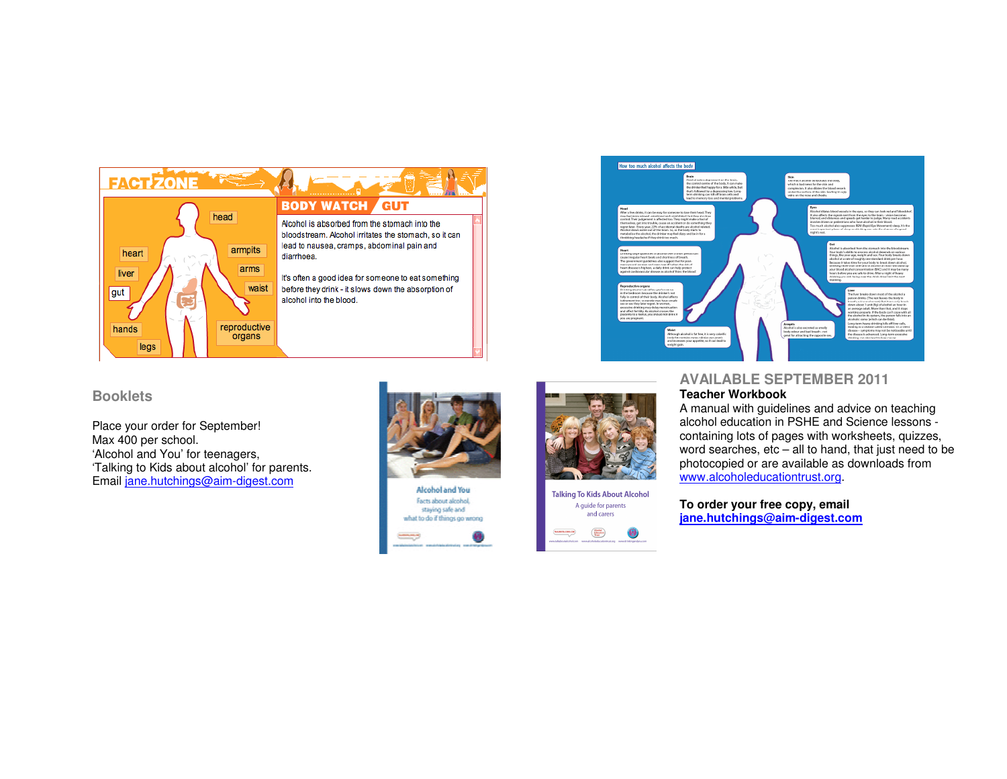

# **Booklets**

Place your order for September! Max 400 per school. 'Alcohol and You' for teenagers, 'Talking to Kids about alcohol' for parents. Email jane.hutchings@aim-digest.com



Alcohol and You Facts about alcohol, staying safe and what to do if things go wrong





# **AVAILABLE SEPTEMBER 2011 Teacher Workbook**

A manual with guidelines and advice on teaching alcohol education in PSHE and Science lessons containing lots of pages with worksheets, quizzes, word searches, etc – all to hand, that just need to be photocopied or are available as downloads from www.alcoholeducationtrust.org.

**To order your free copy, email jane.hutchings@aim-digest.com**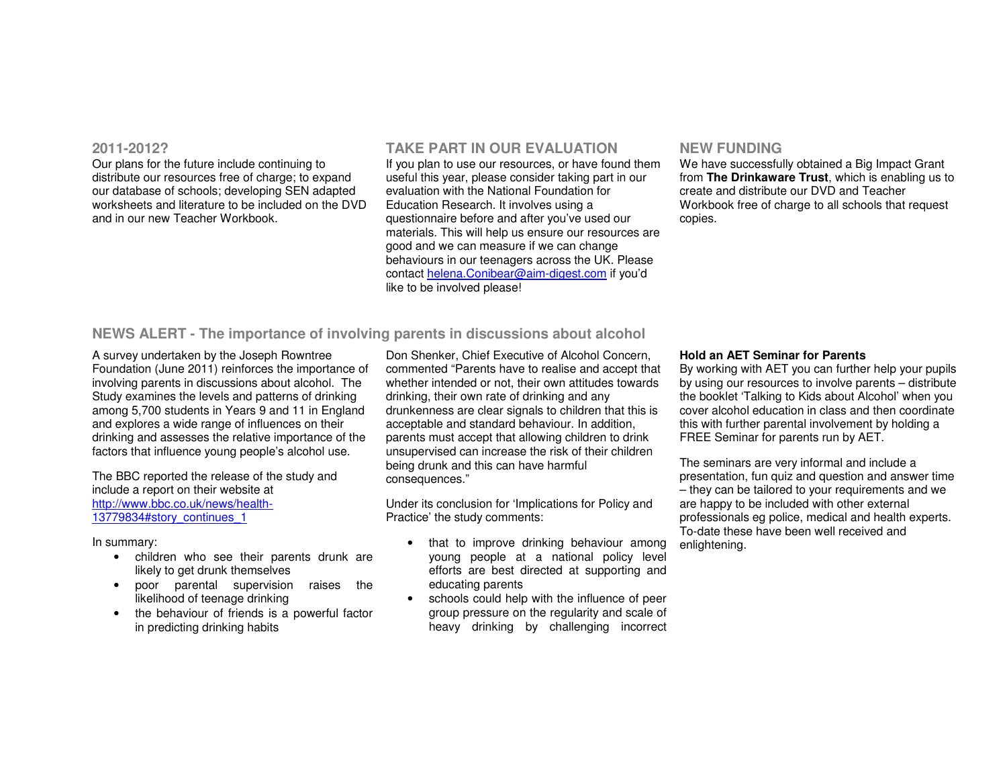#### **2011-2012?**

Our plans for the future include continuing to distribute our resources free of charge; to expand our database of schools; developing SEN adapted worksheets and literature to be included on the DVD and in our new Teacher Workbook.

# **TAKE PART IN OUR EVALUATION**

If you plan to use our resources, or have found them useful this year, please consider taking part in our evaluation with the National Foundation for Education Research. It involves using a questionnaire before and after you've used our materials. This will help us ensure our resources are good and we can measure if we can change behaviours in our teenagers across the UK. Please contact helena.Conibear@aim-digest.com if you'd like to be involved please!

## **NEW FUNDING**

We have successfully obtained a Big Impact Grant from **The Drinkaware Trust**, which is enabling us to create and distribute our DVD and Teacher Workbook free of charge to all schools that request copies.

## **NEWS ALERT - The importance of involving parents in discussions about alcohol**

A survey undertaken by the Joseph Rowntree Foundation (June 2011) reinforces the importance of involving parents in discussions about alcohol. The Study examines the levels and patterns of drinking among 5,700 students in Years 9 and 11 in England and explores a wide range of influences on their drinking and assesses the relative importance of the factors that influence young people's alcohol use.

The BBC reported the release of the study and include a report on their website at http://www.bbc.co.uk/news/health-13779834#story\_continues\_1

In summary:

- children who see their parents drunk are likely to get drunk themselves
- poor parental supervision raises the likelihood of teenage drinking
- the behaviour of friends is a powerful factor in predicting drinking habits

Don Shenker, Chief Executive of Alcohol Concern, commented "Parents have to realise and accept that whether intended or not, their own attitudes towards drinking, their own rate of drinking and any drunkenness are clear signals to children that this is acceptable and standard behaviour. In addition, parents must accept that allowing children to drink unsupervised can increase the risk of their children being drunk and this can have harmful consequences."

Under its conclusion for 'Implications for Policy and Practice' the study comments:

- that to improve drinking behaviour among young people at a national policy level efforts are best directed at supporting and educating parents
- schools could help with the influence of peer group pressure on the regularity and scale of heavy drinking by challenging incorrect

#### **Hold an AET Seminar for Parents**

By working with AET you can further help your pupils by using our resources to involve parents – distribute the booklet 'Talking to Kids about Alcohol' when you cover alcohol education in class and then coordinate this with further parental involvement by holding a FREE Seminar for parents run by AET.

The seminars are very informal and include a presentation, fun quiz and question and answer time – they can be tailored to your requirements and we are happy to be included with other external professionals eg police, medical and health experts. To-date these have been well received and enlightening.